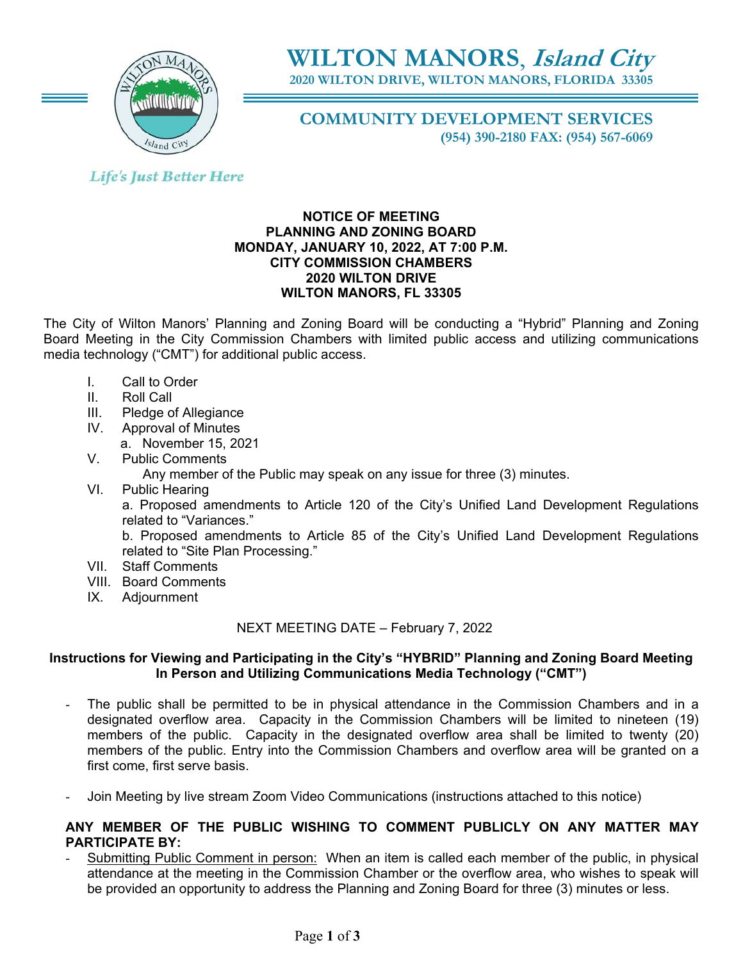

# **WILTON MANORS**, **Island City**

**2020 WILTON DRIVE, WILTON MANORS, FLORIDA 33305** 

**COMMUNITY DEVELOPMENT SERVICES (954) 390-2180 FAX: (954) 567-6069** 

## **Life's Just Better Here**

#### **NOTICE OF MEETING PLANNING AND ZONING BOARD MONDAY, JANUARY 10, 2022, AT 7:00 P.M. CITY COMMISSION CHAMBERS 2020 WILTON DRIVE WILTON MANORS, FL 33305**

The City of Wilton Manors' Planning and Zoning Board will be conducting a "Hybrid" Planning and Zoning Board Meeting in the City Commission Chambers with limited public access and utilizing communications media technology ("CMT") for additional public access.

- I. Call to Order
- II. Roll Call
- III. Pledge of Allegiance
- IV. Approval of Minutes
- a. November 15, 2021
- V. Public Comments

Any member of the Public may speak on any issue for three (3) minutes.

VI. Public Hearing

a. Proposed amendments to Article 120 of the City's Unified Land Development Regulations related to "Variances."

b. Proposed amendments to Article 85 of the City's Unified Land Development Regulations related to "Site Plan Processing."

- VII. Staff Comments
- VIII. Board Comments
- IX. Adjournment

NEXT MEETING DATE – February 7, 2022

### **Instructions for Viewing and Participating in the City's "HYBRID" Planning and Zoning Board Meeting In Person and Utilizing Communications Media Technology ("CMT")**

- The public shall be permitted to be in physical attendance in the Commission Chambers and in a designated overflow area. Capacity in the Commission Chambers will be limited to nineteen (19) members of the public. Capacity in the designated overflow area shall be limited to twenty (20) members of the public. Entry into the Commission Chambers and overflow area will be granted on a first come, first serve basis.
- Join Meeting by live stream Zoom Video Communications (instructions attached to this notice)

### **ANY MEMBER OF THE PUBLIC WISHING TO COMMENT PUBLICLY ON ANY MATTER MAY PARTICIPATE BY:**

Submitting Public Comment in person: When an item is called each member of the public, in physical attendance at the meeting in the Commission Chamber or the overflow area, who wishes to speak will be provided an opportunity to address the Planning and Zoning Board for three (3) minutes or less.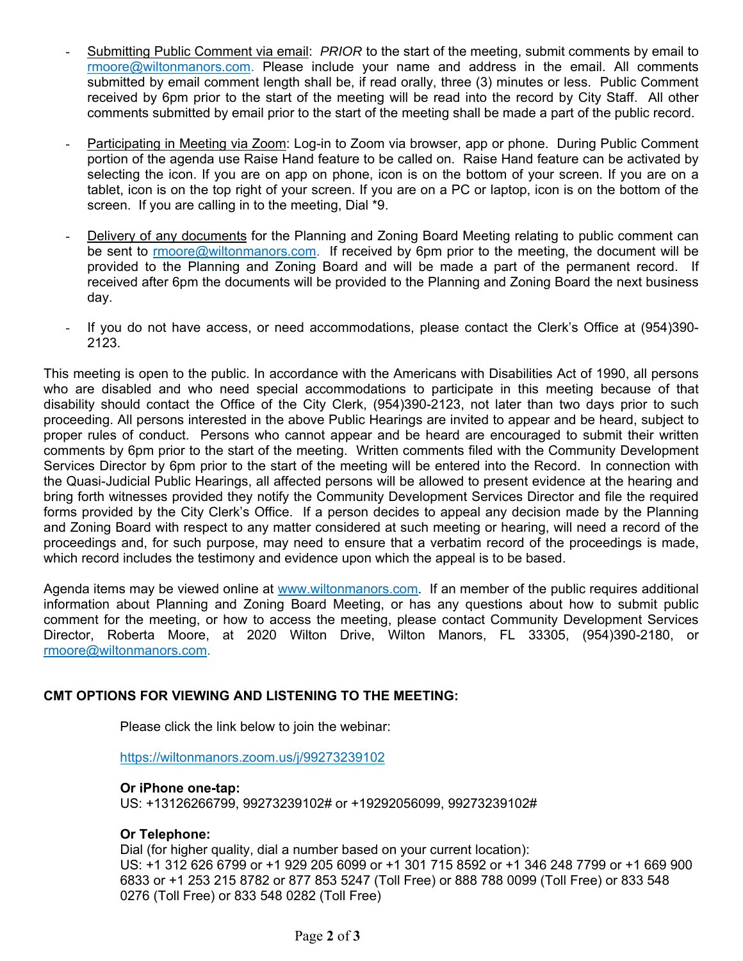- Submitting Public Comment via email: *PRIOR* to the start of the meeting, submit comments by email to rmoore@wiltonmanors.com. Please include your name and address in the email. All comments submitted by email comment length shall be, if read orally, three (3) minutes or less. Public Comment received by 6pm prior to the start of the meeting will be read into the record by City Staff. All other comments submitted by email prior to the start of the meeting shall be made a part of the public record.
- Participating in Meeting via Zoom: Log-in to Zoom via browser, app or phone. During Public Comment portion of the agenda use Raise Hand feature to be called on. Raise Hand feature can be activated by selecting the icon. If you are on app on phone, icon is on the bottom of your screen. If you are on a tablet, icon is on the top right of your screen. If you are on a PC or laptop, icon is on the bottom of the screen. If you are calling in to the meeting, Dial \*9.
- Delivery of any documents for the Planning and Zoning Board Meeting relating to public comment can be sent to rmoore@wiltonmanors.com. If received by 6pm prior to the meeting, the document will be provided to the Planning and Zoning Board and will be made a part of the permanent record. If received after 6pm the documents will be provided to the Planning and Zoning Board the next business day.
- If you do not have access, or need accommodations, please contact the Clerk's Office at (954)390- 2123.

This meeting is open to the public. In accordance with the Americans with Disabilities Act of 1990, all persons who are disabled and who need special accommodations to participate in this meeting because of that disability should contact the Office of the City Clerk, (954)390-2123, not later than two days prior to such proceeding. All persons interested in the above Public Hearings are invited to appear and be heard, subject to proper rules of conduct. Persons who cannot appear and be heard are encouraged to submit their written comments by 6pm prior to the start of the meeting. Written comments filed with the Community Development Services Director by 6pm prior to the start of the meeting will be entered into the Record. In connection with the Quasi-Judicial Public Hearings, all affected persons will be allowed to present evidence at the hearing and bring forth witnesses provided they notify the Community Development Services Director and file the required forms provided by the City Clerk's Office. If a person decides to appeal any decision made by the Planning and Zoning Board with respect to any matter considered at such meeting or hearing, will need a record of the proceedings and, for such purpose, may need to ensure that a verbatim record of the proceedings is made, which record includes the testimony and evidence upon which the appeal is to be based.

Agenda items may be viewed online at www.wiltonmanors.com. If an member of the public requires additional information about Planning and Zoning Board Meeting, or has any questions about how to submit public comment for the meeting, or how to access the meeting, please contact Community Development Services Director, Roberta Moore, at 2020 Wilton Drive, Wilton Manors, FL 33305, (954)390-2180, or rmoore@wiltonmanors.com.

### **CMT OPTIONS FOR VIEWING AND LISTENING TO THE MEETING:**

Please click the link below to join the webinar:

https://wiltonmanors.zoom.us/j/99273239102

### **Or iPhone one-tap:**

US: +13126266799, 99273239102# or +19292056099, 99273239102#

### **Or Telephone:**

Dial (for higher quality, dial a number based on your current location): US: +1 312 626 6799 or +1 929 205 6099 or +1 301 715 8592 or +1 346 248 7799 or +1 669 900 6833 or +1 253 215 8782 or 877 853 5247 (Toll Free) or 888 788 0099 (Toll Free) or 833 548 0276 (Toll Free) or 833 548 0282 (Toll Free)